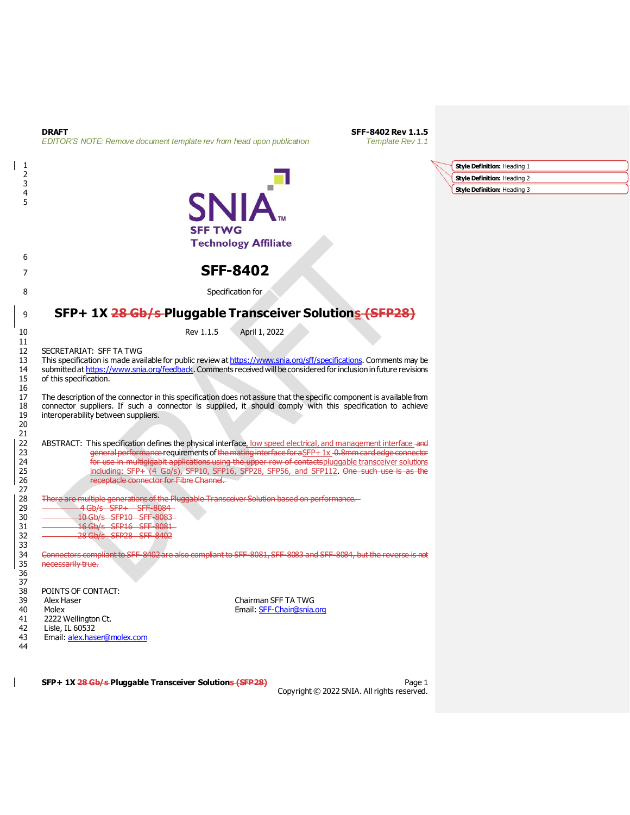| 1                                      |                                                                                                                                                                                                                                                                                                                                                                                                                                                                   | Style Definition: Heading 1 |
|----------------------------------------|-------------------------------------------------------------------------------------------------------------------------------------------------------------------------------------------------------------------------------------------------------------------------------------------------------------------------------------------------------------------------------------------------------------------------------------------------------------------|-----------------------------|
| 2                                      |                                                                                                                                                                                                                                                                                                                                                                                                                                                                   | Style Definition: Heading 2 |
| 3<br>4<br>5                            | SNIA                                                                                                                                                                                                                                                                                                                                                                                                                                                              | Style Definition: Heading 3 |
|                                        | <b>SFF TWG</b><br><b>Technology Affiliate</b>                                                                                                                                                                                                                                                                                                                                                                                                                     |                             |
| 6<br>7                                 | <b>SFF-8402</b>                                                                                                                                                                                                                                                                                                                                                                                                                                                   |                             |
| 8                                      | Specification for                                                                                                                                                                                                                                                                                                                                                                                                                                                 |                             |
| 9                                      | SFP+ 1X 28 Gb/s-Pluggable Transceiver Solutions (SFP28)                                                                                                                                                                                                                                                                                                                                                                                                           |                             |
| 10                                     | Rev 1.1.5<br>April 1, 2022                                                                                                                                                                                                                                                                                                                                                                                                                                        |                             |
| 11<br>12<br>13<br>14<br>15<br>16       | SECRETARIAT: SFF TA TWG<br>This specification is made available for public review at https://www.snia.org/sff/specifications. Comments may be<br>submitted at https://www.snia.org/feedback. Comments received will be considered for inclusion in future revisions<br>of this specification.                                                                                                                                                                     |                             |
| 17<br>18<br>19<br>20                   | The description of the connector in this specification does not assure that the specific component is available from<br>connector suppliers. If such a connector is supplied, it should comply with this specification to achieve<br>interoperability between suppliers.                                                                                                                                                                                          |                             |
| 21<br>22<br>23<br>24<br>25<br>26<br>27 | ABSTRACT: This specification defines the physical interface, low speed electrical, and management interface and<br>general performance requirements of the mating interface for aSFP+ 1x -0.8mm card edge connector<br>for use in multigigabit applications using the upper row of contactspluggable transceiver solutions<br>including: SFP+ (4 Gb/s), SFP10, SFP16, SFP28, SFP56, and SFP112. One such use is as the<br>receptacle connector for Fibre Channel. |                             |
| 28<br>29<br>30<br>31<br>32<br>33       | There are multiple generations of the Pluggable Transceiver Solution based on performance.<br>4 Gb/s SFP+ SFF-8084<br>10 Gb/s SFP10 SFF-8083<br>16 Gb/s SFP16 SFF-8081<br>28 Gb/s SFP28 SFF-8402                                                                                                                                                                                                                                                                  |                             |
| 34<br>35<br>36<br>37                   | Connectors compliant to SFF-8402 are also compliant to SFF-8081, SFF-8083 and SFF-8084, but the reverse is not<br>necessarily true.                                                                                                                                                                                                                                                                                                                               |                             |
| 38<br>39<br>40<br>41<br>42<br>43<br>44 | POINTS OF CONTACT:<br>Chairman SFF TA TWG<br>Alex Haser<br>Molex<br>Email: SFF-Chair@snia.org<br>2222 Wellington Ct.<br>Lisle, IL 60532<br>Email: alex.haser@molex.com                                                                                                                                                                                                                                                                                            |                             |

**DRAFT SFF-8402 Rev 1.1.5**<br>**EDITOR'S NOTE:** Remove document template rev from head upon publication **SFF-8402 Rev 1.1** 

*EDITOR'S NOTE: Remove document template rev from head upon publication* 

 $\overline{1}$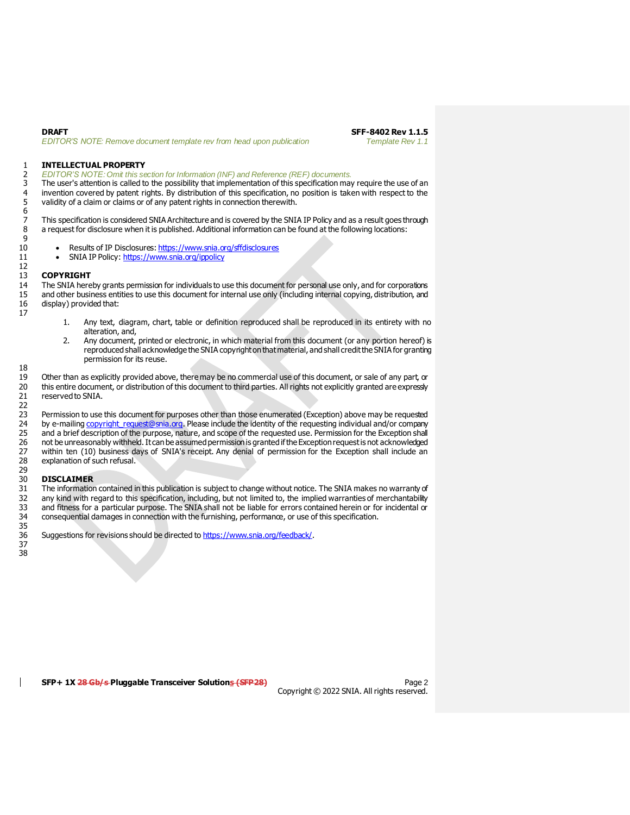#### 1 **INTELLECTUAL PROPERTY**

# 2 *EDITOR'S NOTE: Omit this section for Information (INF) and Reference (REF) documents.*

The user's attention is called to the possibility that implementation of this specification may require the use of an 4 invention covered by patent rights. By distribution of this specification, no position is taken with respect to the<br>5 validity of a claim or claims or of any patent rights in connection therewith. validity of a claim or claims or of any patent rights in connection therewith.

7 This specification is considered SNIA Architecture and is covered by the SNIA IP Policy and as a result goes through<br>8 a reguest for disclosure when it is published. Additional information can be found at the following l a request for disclosure when it is published. Additional information can be found at the following locations:

- Results of IP Disclosures[: https://www.snia.org/sffdisclosures](https://www.snia.org/sffdisclosures)
- 11 SNIA IP Policy[: https://www.snia.org/ippolicy](https://www.snia.org/ippolicy)

#### 13 **COPYRIGHT**

14 The SNIA hereby grants permission for individuals to use this document for personal use only, and for corporations<br>15 and other business entities to use this document for internal use only (including internal copying, d 15 and other business entities to use this document for internal use only (including internal copying, distribution, and<br>16 display) provided that: display) provided that:

- 1. Any text, diagram, chart, table or definition reproduced shall be reproduced in its entirety with no alteration, and,
- 2. Any document, printed or electronic, in which material from this document (or any portion hereof) is reproduced shall acknowledge the SNIA copyright on that material, and shall credit the SNIA for granting permission for its reuse.

19 Other than as explicitly provided above, there may be no commercial use of this document, or sale of any part, or<br>20 this entire document, or distribution of this document to third parties. All rights not explicitly gra 20 this entire document, or distribution of this document to third parties. All rights not explicitly granted are expressly<br>21 reserved to SNIA. reserved to SNIA.

23 Permission to use this document for purposes other than those enumerated (Exception) above may be requested<br>24 by e-mailing copyright request@snia.org. Please include the identity of the requesting individual and/or com 24 by e-mailing copyright request@snia.org. Please include the identity of the requesting individual and/or company<br>25 and a brief description of the purpose, nature, and scope of the requested use. Permission for the Exce and a brief description of the purpose, nature, and scope of the requested use. Permission for the Exception shall 26 not be unreasonably withheld. It can be assumed permission is granted if the Exception request is not acknowledged<br>27 within ten (10) business days of SNIA's receipt. Any denial of permission for the Exception shall inc within ten (10) business days of SNIA's receipt. Any denial of permission for the Exception shall include an 28 explanation of such refusal.

#### 29<br>30 30 **DISCLAIMER**

31 The information contained in this publication is subject to change without notice. The SNIA makes no warranty of<br>32 any kind with regard to this specification, including, but not limited to, the implied warranties of me 32 any kind with regard to this specification, including, but not limited to, the implied warranties of merchantability<br>33 and fitness for a particular purpose. The SNIA shall not be liable for errors contained herein or f 33 and fitness for a particular purpose. The SNIA shall not be liable for errors contained herein or for incidental or<br>34 consequential damages in connection with the furnishing, performance, or use of this specification. consequential damages in connection with the furnishing, performance, or use of this specification. 35

36 Suggestions for revisions should be directed t[o https://www.snia.org/feedback/](https://www.snia.org/feedback/). 37

 $\frac{6}{7}$  $\frac{9}{10}$ 12 17

18

22

38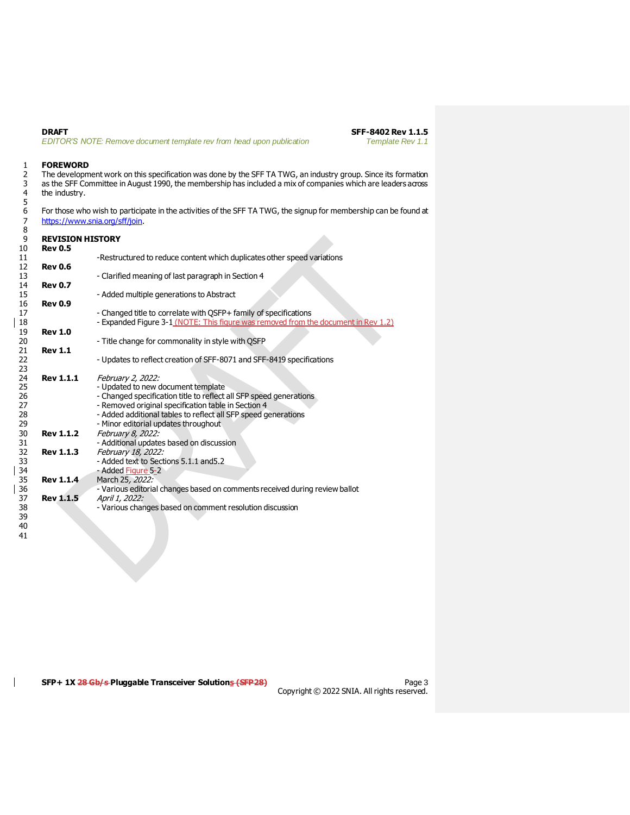**DRAFT SFF-8402 Rev 1.1.5**<br>**EDITOR'S NOTE: Remove document template rev from head upon publication SFF-8402 Rev 1.1** *EDITOR'S NOTE: Remove document template rev from head upon publication* 

# 1 **FOREWORD**<br>2 The developm

2 The development work on this specification was done by the SFF TA TWG, an industry group. Since its formation<br>3 as the SFF Committee in August 1990, the membership has included a mix of companies which are leaders across as the SFF Committee in August 1990, the membership has included a mix of companies which are leaders across the industry.

For those who wish to participate in the activities of the SFF TA TWG, the signup for membership can be found at <https://www.snia.org/sff/join>.

| 9<br>10  | <b>REVISION HISTORY</b><br><b>Rev 0.5</b> |                                                                                                                                                        |
|----------|-------------------------------------------|--------------------------------------------------------------------------------------------------------------------------------------------------------|
| 11       |                                           | -Restructured to reduce content which duplicates other speed variations                                                                                |
| 12       | <b>Rev 0.6</b>                            |                                                                                                                                                        |
| 13       |                                           | - Clarified meaning of last paragraph in Section 4                                                                                                     |
| 14       | <b>Rev 0.7</b>                            |                                                                                                                                                        |
| 15       |                                           | - Added multiple generations to Abstract                                                                                                               |
| 16       | <b>Rev 0.9</b>                            |                                                                                                                                                        |
| 17<br>18 |                                           | - Changed title to correlate with QSFP+ family of specifications<br>- Expanded Figure 3-1 (NOTE: This figure was removed from the document in Rev 1.2) |
| 19       | <b>Rev 1.0</b>                            |                                                                                                                                                        |
| 20       |                                           | - Title change for commonality in style with QSFP                                                                                                      |
| 21       | <b>Rev 1.1</b>                            |                                                                                                                                                        |
| 22       |                                           | - Updates to reflect creation of SFF-8071 and SFF-8419 specifications                                                                                  |
| 23       |                                           |                                                                                                                                                        |
| 24       | <b>Rev 1.1.1</b>                          | February 2, 2022:                                                                                                                                      |
| 25       |                                           | - Updated to new document template                                                                                                                     |
| 26       |                                           | - Changed specification title to reflect all SFP speed generations                                                                                     |
| 27       |                                           | - Removed original specification table in Section 4                                                                                                    |
| 28<br>29 |                                           | - Added additional tables to reflect all SFP speed generations                                                                                         |
|          | <b>Rev 1.1.2</b>                          | - Minor editorial updates throughout                                                                                                                   |
| 30<br>31 |                                           | February 8, 2022:<br>- Additional updates based on discussion                                                                                          |
| 32       | <b>Rev 1.1.3</b>                          | February 18, 2022:                                                                                                                                     |
| 33       |                                           | - Added text to Sections 5.1.1 and 5.2                                                                                                                 |
| 34       |                                           | - Added Figure 5-2                                                                                                                                     |
| 35       | <b>Rev 1.1.4</b>                          | March 25, 2022:                                                                                                                                        |
| 36       |                                           | - Various editorial changes based on comments received during review ballot                                                                            |
| 37       | <b>Rev 1.1.5</b>                          | April 1, 2022:                                                                                                                                         |
| 38<br>39 |                                           | - Various changes based on comment resolution discussion                                                                                               |

 $\mathsf{l}$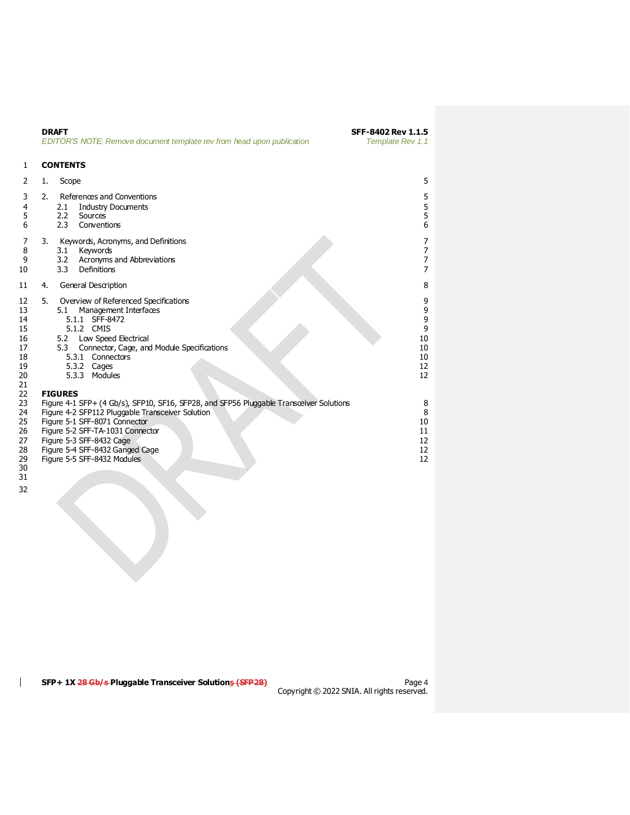|                                                              | <b>DRAFT</b><br>EDITOR'S NOTE: Remove document template rev from head upon publication                                                                                                                                                                                                                                           | SFF-8402 Rev 1.1.5<br>Template Rev 1.1         |
|--------------------------------------------------------------|----------------------------------------------------------------------------------------------------------------------------------------------------------------------------------------------------------------------------------------------------------------------------------------------------------------------------------|------------------------------------------------|
| 1                                                            | <b>CONTENTS</b>                                                                                                                                                                                                                                                                                                                  |                                                |
| 2                                                            | Scope<br>1.                                                                                                                                                                                                                                                                                                                      | 5                                              |
| 3<br>4<br>5<br>6                                             | 2.<br>References and Conventions<br><b>Industry Documents</b><br>2.1<br>2.2<br>Sources<br>2.3<br>Conventions                                                                                                                                                                                                                     | 5<br>5<br>5<br>6                               |
| 7<br>8<br>9<br>10                                            | 3.<br>Keywords, Acronyms, and Definitions<br>Keywords<br>3.1<br>Acronyms and Abbreviations<br>3.2<br>3.3<br>Definitions                                                                                                                                                                                                          | 7<br>7<br>7<br>7                               |
| 11                                                           | General Description<br>4.                                                                                                                                                                                                                                                                                                        | 8                                              |
| 12<br>13<br>14<br>15<br>16<br>17<br>18<br>19<br>20<br>21     | 5.<br>Overview of Referenced Specifications<br>Management Interfaces<br>5.1<br>SFF-8472<br>5.1.1<br>5.1.2 CMIS<br>Low Speed Electrical<br>5.2<br>Connector, Cage, and Module Specifications<br>5.3<br>5.3.1<br>Connectors<br>5.3.2 Cages<br>5.3.3 Modules                                                                        | 9<br>9<br>9<br>9<br>10<br>10<br>10<br>12<br>12 |
| 22<br>23<br>24<br>25<br>26<br>27<br>28<br>29<br>30<br>$\sim$ | <b>FIGURES</b><br>Figure 4-1 SFP+ (4 Gb/s), SFP10, SF16, SFP28, and SFP56 Pluggable Transceiver Solutions<br>Figure 4-2 SFP112 Pluggable Transceiver Solution<br>Figure 5-1 SFF-8071 Connector<br>Figure 5-2 SFF-TA-1031 Connector<br>Figure 5-3 SFF-8432 Cage<br>Figure 5-4 SFF-8432 Ganged Cage<br>Figure 5-5 SFF-8432 Modules | 8<br>8<br>10<br>11<br>12<br>12<br>12           |

 

 $\mathsf{I}$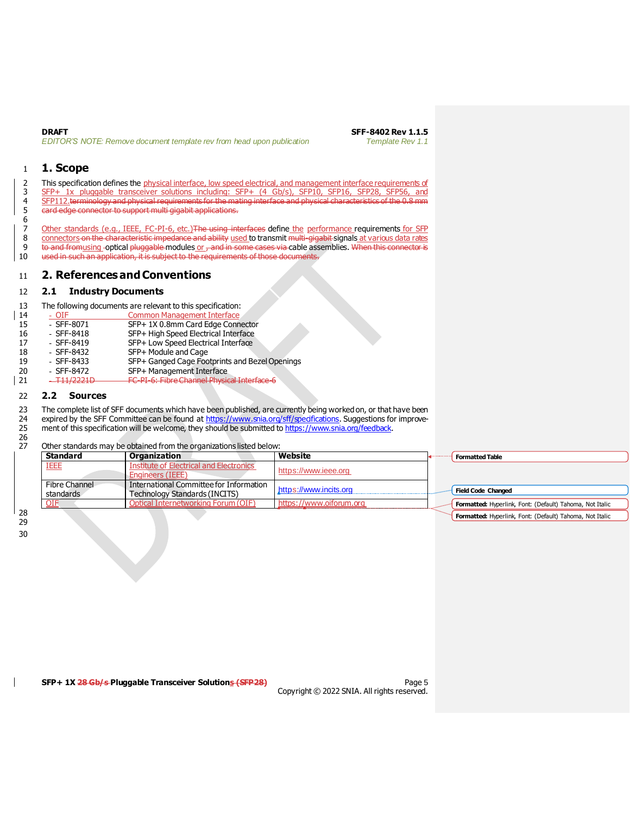**DRAFT SFF-8402 Rev 1.1.5**<br>**EDITOR'S NOTE: Remove document template rev from head upon publication <b>SFF-8402 Rev 1.1** *EDITOR'S NOTE: Remove document template rev from head upon publication* 

# <span id="page-4-0"></span>1 **1. Scope**

 $\frac{6}{7}$ 

2 This specification defines the physical interface, low speed electrical, and management interface requirements of SFP+ 1x pluggable transceiver solutions including: SFP+ (4 Gb/s), SFP10, SFP16, SFP28, SFP56, and SFP112.terminology and physical requirements for the mating interface and physical characteristics of the 0.8 mm card edge connector to support multi gigabit applications.

7 Other standards (e.g., IEEE, FC-PI-6, etc.) The using interfaces define the performance requirements for SFP<br>8 connectors on the characteristic impedance and ability used to transmit multi-gigabit signals at various data 8 connectors on the characteristic impedance and ability used to transmit multi-gigabit signals at various data rates<br>8 to and fromusing -optical pluggable modules or -and in some cases via cable assemblies. When this conn 8 to and from using optical pluggable modules or , and in some cases via cable assemblies. When this connector is<br>10 used in such an application, it is subject to the requirements of those documents. used in such an application, it is subject to the requirements of those documents.

# <span id="page-4-1"></span>11 **2. References and Conventions**

#### <span id="page-4-2"></span>12 **2.1 Industry Documents**

13 The following documents are relevant to this specification:<br>14 Common Management Interface

- 14 <u>OIF</u> Common Management Interface<br>15 SFF-8071 SFP+1X 0.8mm Card Edge Con
- 15 SFF-8071 SFP+ 1X 0.8mm Card Edge Connector<br>16 SFF-8418 SFP+ High Speed Electrical Interface
- 16 SFF-8418 SFP+ High Speed Electrical Interface
- SFF-8419 SFP+ Low Speed Electrical Interface<br>- SFF-8432 SFP+ Module and Cage
- 18 SFF-8432 SFP+ Module and Cage<br>19 SFF-8433 SFP+ Ganged Cage Foo SFP+ Ganged Cage Footprints and Bezel Openings
- 
- 20 SFF-8472 SFP+ Management Interface<br>| 21 <del>- T11/2221D FC-PI-6: Fibre Channel Physic</del> <sup>-T11/2221D</sup> FC-PI-6: Fibre Channel Physical Interface-6

### <span id="page-4-3"></span>22 **2.2 Sources**

23 The complete list of SFF documents which have been published, are currently being worked on, or that have been<br>24 expired by the SFF Committee can be found at https://www.snia.org/sff/specifications. Suggestions for imp expired by the SFF Committee can be found at <https://www.snia.org/sff/specifications>. Suggestions for improve-<br>25 ment of this specification will be welcome, they should be submitted to https://www.snia.org/feedback. ment of this specification will be welcome, they should be submitted to <https://www.snia.org/feedback>.

#### Other standards may be obtained from the organizations listed below:

| <b>Standard</b> | Organization                            | Website                 | <b>Formatted Table</b>                                   |
|-----------------|-----------------------------------------|-------------------------|----------------------------------------------------------|
| <b>IEEE</b>     | Institute of Electrical and Electronics | https://www.ieee.org    |                                                          |
|                 | <b>Engineers (IEEE)</b>                 |                         |                                                          |
| Fibre Channel   | International Committee for Information | https://www.incits.org  |                                                          |
| standards       | Technology Standards (INCITS)           |                         | <b>Field Code Changed</b>                                |
| <b>OIF</b>      | Optical Internetworking Forum (OIF)     | https://www.oiforum.org | Formatted: Hyperlink, Font: (Default) Tahoma, Not Italic |

**Formatted:** Hyperlink, Font: (Default) Tahoma, Not Italic

28 29 30

26<br>27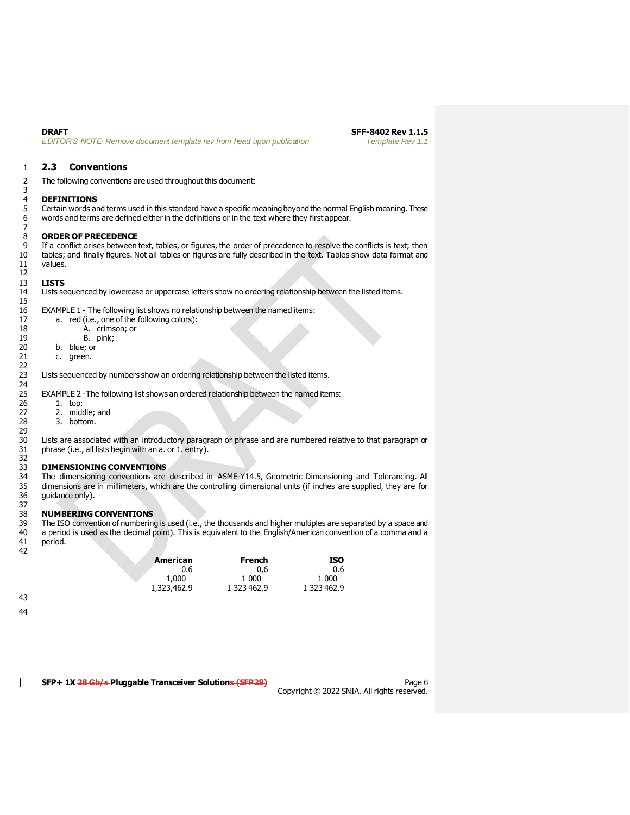$\frac{3}{4}$ 

 $\begin{array}{c} 7 \\ 8 \end{array}$ 

12<br>13

 $15\atop16$ 

22

**DRAFT SFF-8402 Rev 1.1.5**<br>**EDITOR'S NOTE: Remove document template rev from head upon publication <b>SFF-8402 Rev 1.1** *EDITOR'S NOTE: Remove document template rev from head upon publication* 

### <span id="page-5-0"></span>1 **2.3 Conventions**

2 The following conventions are used throughout this document:

# 4 **DEFINITIONS**

5 Certain words and terms used in this standard have a specific meaning beyond the normal English meaning. These 6 words and terms are defined either in the definitions or in the text where they first appear.

# 8 **ORDER OF PRECEDENCE**<br>9 If a conflict arises between

9 If a conflict arises between text, tables, or figures, the order of precedence to resolve the conflicts is text; then tables; and finally figures. Not all tables or figures are fully described in the text. Tables show da tables; and finally figures. Not all tables or figures are fully described in the text. Tables show data format and 11 values.

#### 13 **LISTS**

14 Lists sequenced by lowercase or uppercase letters show no ordering relationship between the listed items.

EXAMPLE 1 - The following list shows no relationship between the named items:

| 17 | a. red (i.e., one of the following colors): |
|----|---------------------------------------------|
| 18 | A. crimson; or                              |

- 18 A. crimson; or<br>19 B. pink;
	- B. pink;
- 20 b. blue; or<br>21 c. green.
	- c. green.

Lists sequenced by numbers show an ordering relationship between the listed items.

EXAMPLE 2 -The following list shows an ordered relationship between the named items:

24<br>25<br>26

29<br>30

- 26 1. top;<br>27 2. mido 27 2. middle; and<br>28 3. bottom.
	- 3. bottom.

30 Lists are associated with an introductory paragraph or phrase and are numbered relative to that paragraph or phrase (i.e., all lists begin with an a. or 1. entry).

#### 33 **DIMENSIONING CONVENTIONS**

32<br>33<br>34 34 The dimensioning conventions are described in ASME-Y14.5, Geometric Dimensioning and Tolerancing. All<br>35 dimensions are in millimeters, which are the controlling dimensional units (if inches are supplied, they are for 35 dimensions are in millimeters, which are the controlling dimensional units (if inches are supplied, they are for guidance only).

#### 37<br>38 38 **NUMBERING CONVENTIONS**

39 The ISO convention of numbering is used (i.e., the thousands and higher multiples are separated by a space and<br>40 a period is used as the decimal point). This is equivalent to the English/American convention of a comma 40 a period is used as the decimal point). This is equivalent to the English/American convention of a comma and a<br>41 period. period. 42

| American    | French      | ISO         |
|-------------|-------------|-------------|
| 0.6         | 0.6         | 0.6         |
| 1,000       | 1 000       | 1.000       |
| 1,323,462.9 | 1 323 462.9 | 1 323 462.9 |

43

44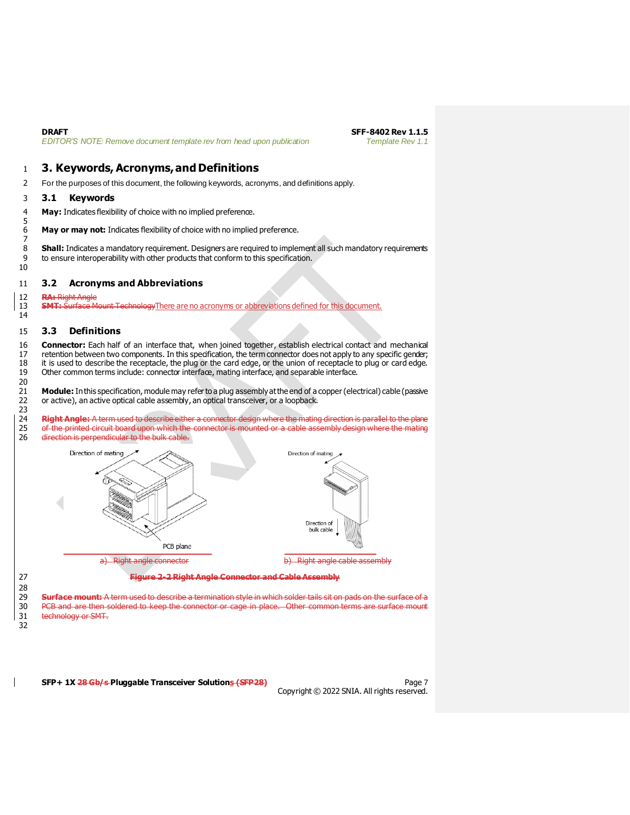# <span id="page-6-0"></span>1 **3. Keywords, Acronyms, and Definitions**

2 For the purposes of this document, the following keywords, acronyms, and definitions apply.

### <span id="page-6-1"></span>3 **3.1 Keywords**

5

7

10

14

4 **May:** Indicates flexibility of choice with no implied preference.

6 **May or may not:** Indicates flexibility of choice with no implied preference.

8 **Shall:** Indicates a mandatory requirement. Designers are required to implement all such mandatory requirements 9 to ensure interoperability with other products that conform to this specification.

#### <span id="page-6-2"></span>11 **3.2 Acronyms and Abbreviations**

12 **RA:** Right Angle

13 **SMT:** Surface Mount TechnologyThere are no acronyms or abbreviations defined for this document.

#### <span id="page-6-3"></span>15 **3.3 Definitions**

16 **Connector:** Each half of an interface that, when joined together, establish electrical contact and mechanical 17 retention between two components. In this specification, the term connector does not apply to any specific gender;<br>18 it is used to describe the receptacle, the plug or the card edge, or the union of receptacle to plug 18 it is used to describe the receptacle, the plug or the card edge, or the union of receptacle to plug or card edge.<br>19 Other common terms include: connector interface, mating interface, and separable interface. Other common terms include: connector interface, mating interface, and separable interface.

20 21 **Module:** In this specification, module may refer to a plug assembly at the end of a copper (electrical) cable (passive 22 or active), an active optical cable assembly, an optical transceiver, or a loopback. or active), an active optical cable assembly, an optical transceiver, or a loopback.

23 Right Angle: A term used to describe either a connector design where the mating direction is parallel to the plane 25 of the printed circuit board upon which the connector is mounted or a cable assembly design where the mating<br>26 direction is perpendicular to the bulk cable. direction is perpendicular to the bulk cable.



27 **Figure 2-2 Right Angle Connector and Cable Assembly**

28<br>29

29 **Surface mount:** A term used to describe a termination style in which solder tails sit on pads on the surface of a PCB and are then soldered to keep the connector or cage in place. Other common terms are surface mount 31 technology or SMT.

32

**SFP+ 1X 28 Gb/s Pluggable Transceiver Solutions (SFP28)** Page 7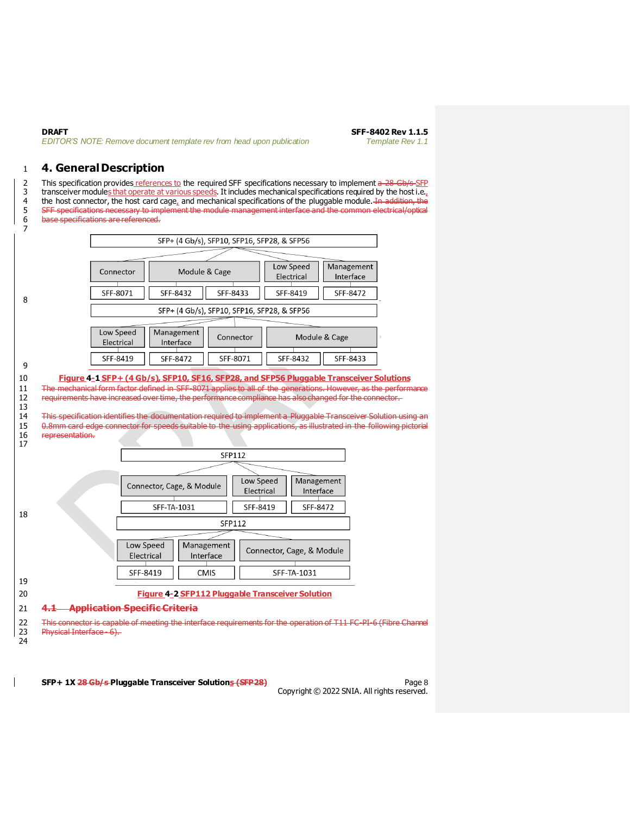**DRAFT SFF-8402 Rev 1.1.5**<br>**EDITOR'S NOTE: Remove document template rev from head upon publication SFF-8402 Rev 1.1** *EDITOR'S NOTE: Remove document template rev from head upon publication* 

## <span id="page-7-0"></span>**4. General Description**

2 This specification provides references to the required SFF specifications necessary to implement  $a-28$  Gb/s-SFP 3 transceiver modules that operate at various speeds. It includes mechanical specifications required by the host i.e., 4 the host connector, the host card cage, and mechanical specifications of the pluggable module. In addition, the 5 SFF specifications necessary to implement the module management interface and the common electrical/optical<br>6 base specifications are referenced. base specifications are referenced.

<span id="page-7-1"></span>

<span id="page-7-2"></span>**SFP+ 1X 28 Gb/s Pluggable Transceiver Solutions (SFP28)** Page 8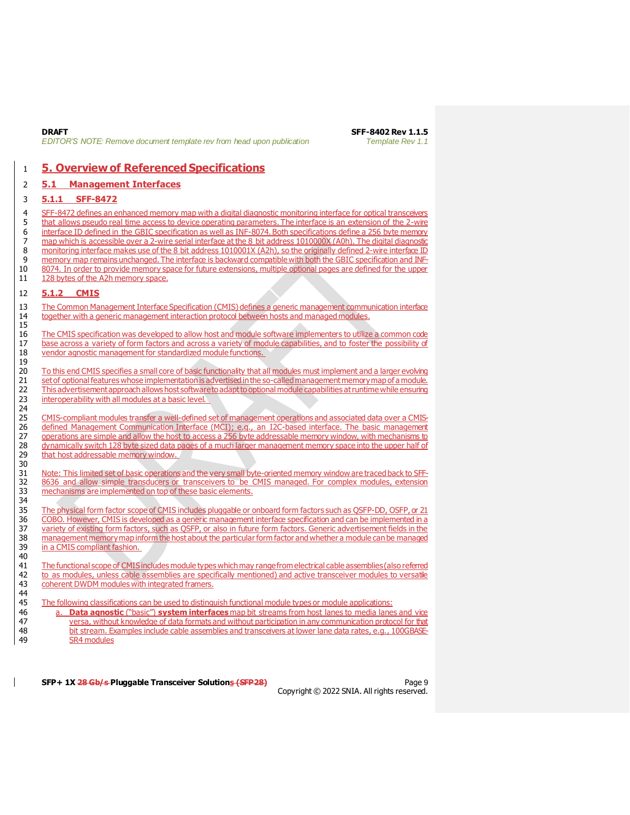**DRAFT SFF-8402 Rev 1.1.5** *EDITOR'S NOTE: Remove document template rev from head upon publication Template Rev 1.1*

# <span id="page-8-1"></span>1 **5. Overview of Referenced Specifications**

#### <span id="page-8-2"></span>2 **5.1 Management Interfaces**

#### <span id="page-8-0"></span>3 **5.1.1 SFF-8472**

4 SFF-8472 defines an enhanced memory map with a digital diagnostic monitoring interface for optical transceivers 5 that allows pseudo real time access to device operating parameters. The interface is an extension of the 2-wire 6 interface ID defined in the GBIC specification as well as INF-8074. Both specifications define a 256 byte memory 7 map which is accessible over a 2-wire serial interface at the 8 bit address 1010000X (A0h). The digital diagnostic<br>8 monitoring interface makes use of the 8 bit address 1010001X (A2h), so the originally defined 2-wire in monitoring interface makes use of the 8 bit address 1010001X (A2h), so the originally defined 2-wire interface ID 9 memory map remains unchanged. The interface is backward compatible with both the GBIC specification and INF-10 8074. In order to provide memory space for future extensions, multiple optional pages are defined for the upper 11 128 bytes of the A2h memory space.

### <span id="page-8-3"></span>12 **5.1.2 CMIS**

15

19

30

13 The Common Management Interface Specification (CMIS) defines a generic management communication interface<br>14 together with a generic management interaction protocol between hosts and managed modules. 14 together with a generic management interaction protocol between hosts and managed modules.

16 The CMIS specification was developed to allow host and module software implementers to utilize a common code 17 base across a variety of form factors and across a variety of module capabilities, and to foster the possibility of 18 vendor agnostic management for standardized module functions.

20 To this end CMIS specifies a small core of basic functionality that all modules must implement and a larger evolving 21 set of optional features whose implementation is advertised in the so-called management memory map of a module. 22 This advertisement approach allows host software to adapt to optional module capabilities at runtime while ensuring 23 interoperability with all modules at a basic level.

24<br>25 25 CMIS-compliant modules transfer a well-defined set of management operations and associated data over a CMIS-26 defined Management Communication Interface (MCI); e.g., an I2C-based interface. The basic management 27 operations are simple and allow the host to access a 256 byte addressable memory window, with mechanisms to 28 dynamically switch 128 byte sized data pages of a much larger management memory space into the upper half of 29 that host addressable memory window.

31 Note: This limited set of basic operations and the very small byte-oriented memory window are traced back to SFF-32 8636 and allow simple transducers or transceivers to be CMIS managed. For complex modules, extension mechanisms are implemented on top of these basic elements. mechanisms are implemented on top of these basic elements. 34

35 The physical form factor scope of CMIS includes pluggable or onboard form factors such as QSFP-DD, OSFP, or 21<br>36 COBO, However, CMIS is developed as a generic management interface specification and can be implemented i 36 COBO. However, CMIS is developed as a generic management interface specification and can be implemented in a 37 variety of existing form factors, such as QSFP, or also in future form factors. Generic advertisement fields in the<br>38 management memory map inform the host about the particular form factor and whether a module can be m management memory map inform the host about the particular form factor and whether a module can be managed 39 in a CMIS compliant fashion.

40<br>41 The functional scope of CMIS includes module types which may range from electrical cable assemblies (also referred 42 to as modules, unless cable assemblies are specifically mentioned) and active transceiver modules to versatile 43 coherent DWDM modules with integrated framers. 44

45 The following classifications can be used to distinguish functional module types or module applications:<br>46 **August 2016 Constant Constant Constant interfaces** map bit streams from host lanes to media lane

 a. **Data agnostic** ("basic") **system interfaces** map bit streams from host lanes to media lanes and vice versa, without knowledge of data formats and without participation in any communication protocol for that bit stream. Examples include cable assemblies and transceivers at lower lane data rates, e.g., 100GBASE-SR4 modules

**SFP+ 1X 28 Gb/s Pluggable Transceiver Solutions (SFP28)** Page 9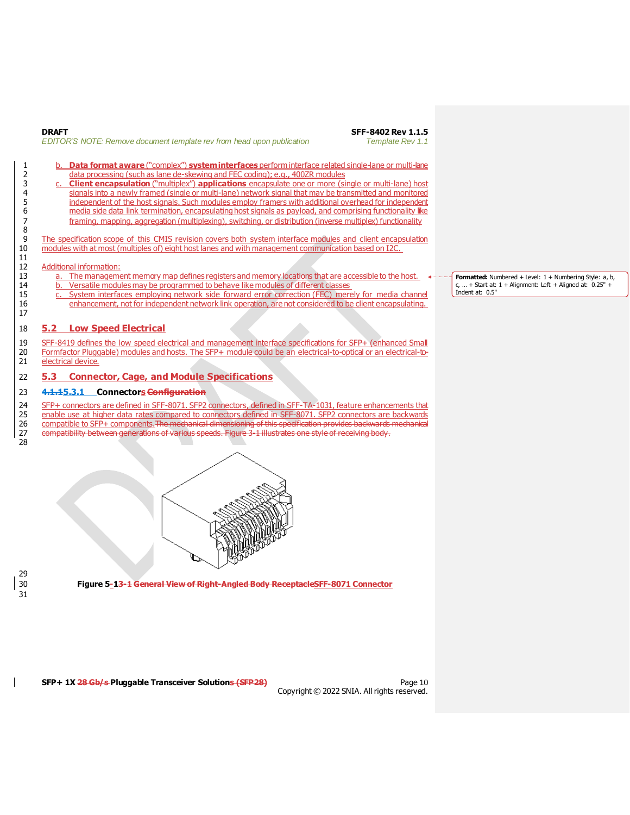| <b>DRAFT</b>                                                           |  |  |
|------------------------------------------------------------------------|--|--|
| EDITOR'S NOTE: Remove document template rev from head upon publication |  |  |

**DRAFT SFF-8402 Rev 1.1.5** *EDITOR'S NOTE: Remove document template rev from head upon publication Template Rev 1.1*

- 1 b. **Data format aware** ("complex") **system interfaces** perform interface related single-lane or multi-lane<br>2 data processing (such as lane de-skewing and FEC coding); e.g., 400ZR modules data processing (such as lane de-skewing and FEC coding); e.g., 400ZR modules
- 3 c. **Client encapsulation** ("multiplex") **applications** encapsulate one or more (single or multi-lane) host signals into a newly framed (single or multi-lane) network signal that may be transmitted and monitored<br>5 independent of the host signals. Such modules employ framers with additional overhead for independent independent of the host signals. Such modules employ framers with additional overhead for independent 6 media side data link termination, encapsulating host signals as payload, and comprising functionality like<br>7 framing, mapping, aggregation (multiplexing), switching, or distribution (inverse multiplex) functionality framing, mapping, aggregation (multiplexing), switching, or distribution (inverse multiplex) functionality

The specification scope of this CMIS revision covers both system interface modules and client encapsulation 10 modules with at most (multiples of) eight host lanes and with management communication based on I2C.

#### 12 Additional information:

8

11

17

28

- 13 a. The management memory map defines registers and memory locations that are accessible to the host.
- 14 b. Versatile modules may be programmed to behave like modules of different classes<br>15 c. System interfaces emploving network side forward error correction (FEC) mere
- 15 c. System interfaces employing network side forward error correction (FEC) merely for media channel<br>16 enhancement, not for independent network link operation, are not considered to be client encapsulating. enhancement, not for independent network link operation, are not considered to be client encapsulating.

### <span id="page-9-0"></span>18 **5.2 Low Speed Electrical**

- 19 SFF-8419 defines the low speed electrical and management interface specifications for SFP+ (enhanced Small
- 20 Formfactor Pluggable) modules and hosts. The SFP+ module could be an electrical-to-optical or an electrical-to-21 electrical device.
- <span id="page-9-1"></span>22 **5.3 Connector, Cage, and Module Specifications**

#### <span id="page-9-2"></span>23 **4.1.15.3.1 Connectors Configuration**

- 24 SFP+ connectors are defined in SFF-8071. SFP2 connectors, defined in SFF-TA-1031, feature enhancements that<br>25 enable use at higher data rates compared to connectors defined in SFF-8071. SFP2 connectors are backwards
- 25 enable use at higher data rates compared to connectors defined in SFF-8071. SFP2 connectors are backwards<br>26 compatible to SFP+ components. The medianical dimensioning of this specification provides backwards medianical compatible to SFP+ components. The mechanical dimensioning of this specification provides backwards mechanical
- 27 compatibility between generations of various speeds. Figure 3-1 illustrates one style of receiving body.



29 31

<span id="page-9-3"></span>30 **Figure 5-13-1 General View of Right-Angled Body ReceptacleSFF-8071 Connector**

**SFP+ 1X 28 Gb/s Pluggable Transceiver Solutions (SFP28)** Page 10

Copyright © 2022 SNIA. All rights reserved.

Formatted: Numbered + Level: 1 + Numbering Style: a, b,  $c, ... +$  Start at:  $1 +$  Alignment: Left + Aligned at:  $0.25" +$ Indent at: 0.5"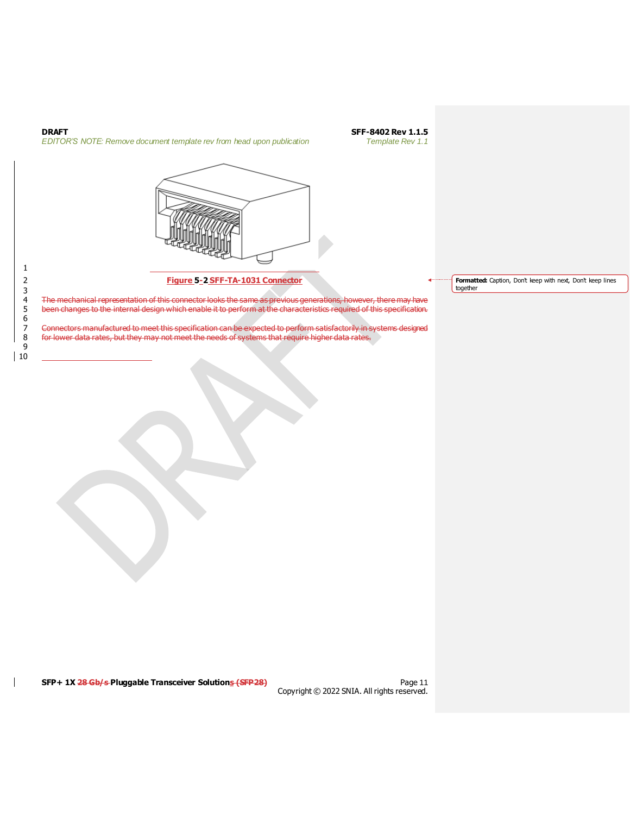<span id="page-10-0"></span>